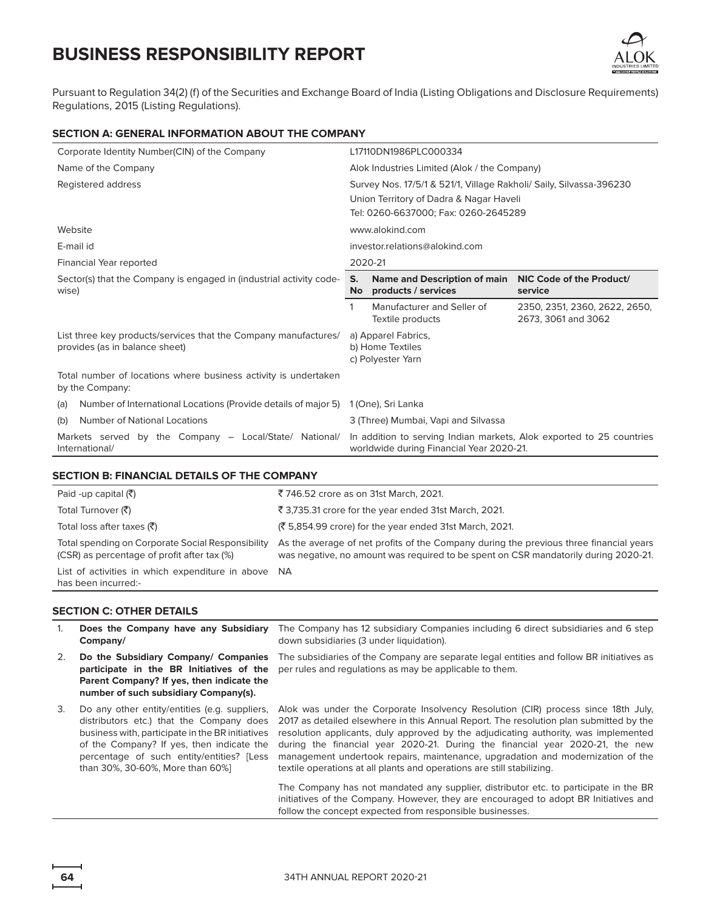

Pursuant to Regulation 34(2) (f) of the Securities and Exchange Board of India (Listing Obligations and Disclosure Requirements) Regulations, 2015 (Listing Regulations).

## **SECTION A: GENERAL INFORMATION ABOUT THE COMPANY**

| Corporate Identity Number(CIN) of the Company                                                     | L17110DN1986PLC000334                                                                                                                                  |                                                            |                                                      |  |  |  |
|---------------------------------------------------------------------------------------------------|--------------------------------------------------------------------------------------------------------------------------------------------------------|------------------------------------------------------------|------------------------------------------------------|--|--|--|
| Name of the Company                                                                               |                                                                                                                                                        | Alok Industries Limited (Alok / the Company)               |                                                      |  |  |  |
| Registered address                                                                                | Survey Nos. 17/5/1 & 521/1, Village Rakholi/ Saily, Silvassa-396230<br>Union Territory of Dadra & Nagar Haveli<br>Tel: 0260-6637000; Fax: 0260-2645289 |                                                            |                                                      |  |  |  |
| Website                                                                                           |                                                                                                                                                        | www.alokind.com                                            |                                                      |  |  |  |
| E-mail id                                                                                         |                                                                                                                                                        | investor.relations@alokind.com                             |                                                      |  |  |  |
| Financial Year reported                                                                           | 2020-21                                                                                                                                                |                                                            |                                                      |  |  |  |
| Sector(s) that the Company is engaged in (industrial activity code-<br>wise)                      | S.<br><b>No</b>                                                                                                                                        | <b>Name and Description of main</b><br>products / services | NIC Code of the Product/<br>service                  |  |  |  |
|                                                                                                   |                                                                                                                                                        | Manufacturer and Seller of<br>Textile products             | 2350, 2351, 2360, 2622, 2650,<br>2673, 3061 and 3062 |  |  |  |
| List three key products/services that the Company manufactures/<br>provides (as in balance sheet) | a) Apparel Fabrics,<br>b) Home Textiles<br>c) Polyester Yarn                                                                                           |                                                            |                                                      |  |  |  |
| Total number of locations where business activity is undertaken<br>by the Company:                |                                                                                                                                                        |                                                            |                                                      |  |  |  |
| Number of International Locations (Provide details of major 5)<br>(a)                             | 1 (One), Sri Lanka                                                                                                                                     |                                                            |                                                      |  |  |  |
| <b>Number of National Locations</b><br>(b)                                                        | 3 (Three) Mumbai, Vapi and Silvassa                                                                                                                    |                                                            |                                                      |  |  |  |
| Markets served by the Company - Local/State/ National/<br>International/                          | In addition to serving Indian markets, Alok exported to 25 countries<br>worldwide during Financial Year 2020-21.                                       |                                                            |                                                      |  |  |  |

#### **SECTION B: FINANCIAL DETAILS OF THE COMPANY**

| Paid -up capital $(\bar{\zeta})$                                                                 | ₹746.52 crore as on 31st March, 2021.                                                                                                                                         |
|--------------------------------------------------------------------------------------------------|-------------------------------------------------------------------------------------------------------------------------------------------------------------------------------|
| Total Turnover (₹)                                                                               | ₹3,735.31 crore for the year ended 31st March, 2021.                                                                                                                          |
| Total loss after taxes (₹)                                                                       | (₹5,854.99 crore) for the year ended 31st March, 2021.                                                                                                                        |
| Total spending on Corporate Social Responsibility<br>(CSR) as percentage of profit after tax (%) | As the average of net profits of the Company during the previous three financial years<br>was negative, no amount was required to be spent on CSR mandatorily during 2020-21. |
| List of activities in which expenditure in above NA<br>has been incurred:-                       |                                                                                                                                                                               |

## **SECTION C: OTHER DETAILS**

|    | Does the Company have any Subsidiary<br>Company/                                                                                                                                                                                                                            | The Company has 12 subsidiary Companies including 6 direct subsidiaries and 6 step<br>down subsidiaries (3 under liquidation).                                                                                                                                                                                                                                                                                                                                                                                   |
|----|-----------------------------------------------------------------------------------------------------------------------------------------------------------------------------------------------------------------------------------------------------------------------------|------------------------------------------------------------------------------------------------------------------------------------------------------------------------------------------------------------------------------------------------------------------------------------------------------------------------------------------------------------------------------------------------------------------------------------------------------------------------------------------------------------------|
| 2. | Do the Subsidiary Company/ Companies<br>participate in the BR Initiatives of the<br>Parent Company? If yes, then indicate the<br>number of such subsidiary Company(s).                                                                                                      | The subsidiaries of the Company are separate legal entities and follow BR initiatives as<br>per rules and regulations as may be applicable to them.                                                                                                                                                                                                                                                                                                                                                              |
| 3. | Do any other entity/entities (e.g. suppliers,<br>distributors etc.) that the Company does<br>business with, participate in the BR initiatives<br>of the Company? If yes, then indicate the<br>percentage of such entity/entities? [Less<br>than 30%, 30-60%, More than 60%] | Alok was under the Corporate Insolvency Resolution (CIR) process since 18th July,<br>2017 as detailed elsewhere in this Annual Report. The resolution plan submitted by the<br>resolution applicants, duly approved by the adjudicating authority, was implemented<br>during the financial year 2020-21. During the financial year 2020-21, the new<br>management undertook repairs, maintenance, upgradation and modernization of the<br>textile operations at all plants and operations are still stabilizing. |
|    |                                                                                                                                                                                                                                                                             | The Company has not mandated any supplier, distributor etc. to participate in the BR<br>initiatives of the Company. However, they are encouraged to adopt BR Initiatives and<br>follow the concept expected from responsible businesses.                                                                                                                                                                                                                                                                         |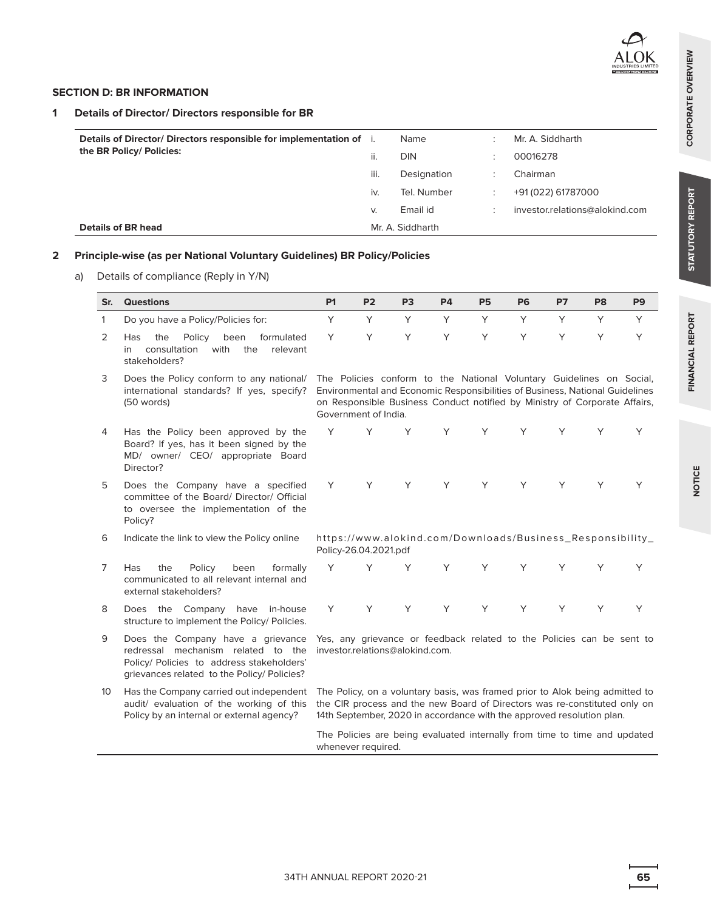**FINANCIAL REPORT STATUTORY REPORT CORPORATE OVERVIEW**

STATUTORY REPORT

FINANCIAL REPORT

CORPORATE OVERVIEW

**NOTICE**

## **SECTION D: BR INFORMATION**

## **1 Details of Director/ Directors responsible for BR**

| Details of BR head                                                  | Mr. A. Siddharth |             |  |                                |
|---------------------------------------------------------------------|------------------|-------------|--|--------------------------------|
|                                                                     | V.               | Email id    |  | investor.relations@alokind.com |
|                                                                     | iv.              | Tel. Number |  | +91 (022) 61787000             |
|                                                                     | iii.             | Designation |  | Chairman                       |
| the BR Policy/ Policies:                                            | ii.              | <b>DIN</b>  |  | 00016278                       |
| Details of Director/ Directors responsible for implementation of i. |                  | Name        |  | Mr. A. Siddharth               |

## **2 Principle-wise (as per National Voluntary Guidelines) BR Policy/Policies**

a) Details of compliance (Reply in Y/N)

| Sr.            | <b>Questions</b>                                                                                                                                                    | P <sub>1</sub>                                                                                                                                                                                                                     | P <sub>2</sub>        | P <sub>3</sub> | <b>P4</b> | <b>P5</b>                                                                                                                                                                                                                          | P <sub>6</sub> | P7 | P <sub>8</sub> | P <sub>9</sub> |
|----------------|---------------------------------------------------------------------------------------------------------------------------------------------------------------------|------------------------------------------------------------------------------------------------------------------------------------------------------------------------------------------------------------------------------------|-----------------------|----------------|-----------|------------------------------------------------------------------------------------------------------------------------------------------------------------------------------------------------------------------------------------|----------------|----|----------------|----------------|
| $\mathbf{1}$   | Do you have a Policy/Policies for:                                                                                                                                  | Y                                                                                                                                                                                                                                  | Y                     | Y              | Y         | Y                                                                                                                                                                                                                                  | Y              | Y  | Y              | Y              |
| 2              | the<br>Policy<br>formulated<br>Has<br>been<br>with<br>relevant<br>consultation<br>the<br>in<br>stakeholders?                                                        | Y                                                                                                                                                                                                                                  | Y                     | Y              | Y         | Y                                                                                                                                                                                                                                  | Y              | Υ  | Υ              | Y              |
| 3              | Does the Policy conform to any national/<br>international standards? If yes, specify?<br>(50 words)                                                                 |                                                                                                                                                                                                                                    | Government of India.  |                |           | The Policies conform to the National Voluntary Guidelines on Social,<br>Environmental and Economic Responsibilities of Business, National Guidelines<br>on Responsible Business Conduct notified by Ministry of Corporate Affairs, |                |    |                |                |
| 4              | Has the Policy been approved by the<br>Board? If yes, has it been signed by the<br>MD/ owner/ CEO/ appropriate Board<br>Director?                                   | Y                                                                                                                                                                                                                                  | Υ                     | Υ              | Y         | Y                                                                                                                                                                                                                                  | Y              | Y  | Y              | Υ              |
| 5              | Does the Company have a specified<br>committee of the Board/ Director/ Official<br>to oversee the implementation of the<br>Policy?                                  | Y                                                                                                                                                                                                                                  | Y                     | Y              | Υ         | Y                                                                                                                                                                                                                                  | Y              | Y  | Y              | Υ              |
| 6              | Indicate the link to view the Policy online                                                                                                                         |                                                                                                                                                                                                                                    | Policy-26.04.2021.pdf |                |           | https://www.alokind.com/Downloads/Business_Responsibility_                                                                                                                                                                         |                |    |                |                |
| $\overline{7}$ | the<br><b>Has</b><br>Policy<br>been<br>formally<br>communicated to all relevant internal and<br>external stakeholders?                                              | Y                                                                                                                                                                                                                                  | Y                     | Υ              | Y         | Y                                                                                                                                                                                                                                  | Y              | Y  | Y              | Υ              |
| 8              | Does the Company<br>have<br>in-house<br>structure to implement the Policy/ Policies.                                                                                | Y                                                                                                                                                                                                                                  | Y                     | Y              | Y         | Y                                                                                                                                                                                                                                  | Y              | Υ  | Y              | Y              |
| 9              | Does the Company have a grievance<br>redressal mechanism related to the<br>Policy/ Policies to address stakeholders'<br>grievances related to the Policy/ Policies? | Yes, any grievance or feedback related to the Policies can be sent to<br>investor.relations@alokind.com.                                                                                                                           |                       |                |           |                                                                                                                                                                                                                                    |                |    |                |                |
| 10             | Has the Company carried out independent<br>audit/ evaluation of the working of this<br>Policy by an internal or external agency?                                    | The Policy, on a voluntary basis, was framed prior to Alok being admitted to<br>the CIR process and the new Board of Directors was re-constituted only on<br>14th September, 2020 in accordance with the approved resolution plan. |                       |                |           |                                                                                                                                                                                                                                    |                |    |                |                |
|                |                                                                                                                                                                     | The Policies are being evaluated internally from time to time and updated<br>whenever required.                                                                                                                                    |                       |                |           |                                                                                                                                                                                                                                    |                |    |                |                |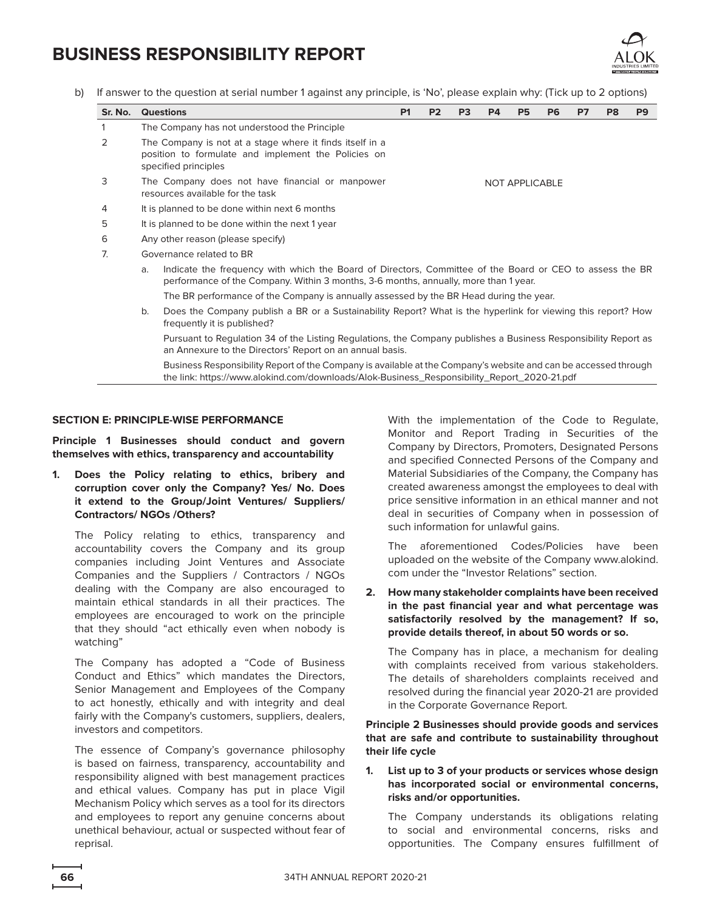

b) If answer to the question at serial number 1 against any principle, is 'No', please explain why: (Tick up to 2 options)

| Sr. No. |                | <b>Questions</b>                                                                                                                                                                                               | P <sub>1</sub> | P <sub>2</sub> | P <sub>3</sub> | P4 | <b>P5</b>             | <b>P6</b> | P7 | P8 | P <sub>9</sub> |
|---------|----------------|----------------------------------------------------------------------------------------------------------------------------------------------------------------------------------------------------------------|----------------|----------------|----------------|----|-----------------------|-----------|----|----|----------------|
|         |                | The Company has not understood the Principle                                                                                                                                                                   |                |                |                |    |                       |           |    |    |                |
| 2       |                | The Company is not at a stage where it finds itself in a<br>position to formulate and implement the Policies on<br>specified principles                                                                        |                |                |                |    |                       |           |    |    |                |
| 3       |                | The Company does not have financial or manpower<br>resources available for the task                                                                                                                            |                |                |                |    | <b>NOT APPLICABLE</b> |           |    |    |                |
| 4       |                | It is planned to be done within next 6 months                                                                                                                                                                  |                |                |                |    |                       |           |    |    |                |
| 5       |                | It is planned to be done within the next 1 year                                                                                                                                                                |                |                |                |    |                       |           |    |    |                |
| 6       |                | Any other reason (please specify)                                                                                                                                                                              |                |                |                |    |                       |           |    |    |                |
| 7.      |                | Governance related to BR                                                                                                                                                                                       |                |                |                |    |                       |           |    |    |                |
|         | a <sub>z</sub> | Indicate the frequency with which the Board of Directors, Committee of the Board or CEO to assess the BR<br>performance of the Company. Within 3 months, 3-6 months, annually, more than 1 year.               |                |                |                |    |                       |           |    |    |                |
|         |                | The BR performance of the Company is annually assessed by the BR Head during the year.                                                                                                                         |                |                |                |    |                       |           |    |    |                |
|         | b.             | Does the Company publish a BR or a Sustainability Report? What is the hyperlink for viewing this report? How<br>frequently it is published?                                                                    |                |                |                |    |                       |           |    |    |                |
|         |                | Pursuant to Regulation 34 of the Listing Regulations, the Company publishes a Business Responsibility Report as<br>an Annexure to the Directors' Report on an annual basis.                                    |                |                |                |    |                       |           |    |    |                |
|         |                | Business Responsibility Report of the Company is available at the Company's website and can be accessed through<br>the link: https://www.alokind.com/downloads/Alok-Business_Responsibility_Report_2020-21.pdf |                |                |                |    |                       |           |    |    |                |

#### **SECTION E: PRINCIPLE-WISE PERFORMANCE**

**Principle 1 Businesses should conduct and govern themselves with ethics, transparency and accountability**

**1. Does the Policy relating to ethics, bribery and corruption cover only the Company? Yes/ No. Does it extend to the Group/Joint Ventures/ Suppliers/ Contractors/ NGOs /Others?**

The Policy relating to ethics, transparency and accountability covers the Company and its group companies including Joint Ventures and Associate Companies and the Suppliers / Contractors / NGOs dealing with the Company are also encouraged to maintain ethical standards in all their practices. The employees are encouraged to work on the principle that they should "act ethically even when nobody is watching"

The Company has adopted a "Code of Business Conduct and Ethics" which mandates the Directors, Senior Management and Employees of the Company to act honestly, ethically and with integrity and deal fairly with the Company's customers, suppliers, dealers, investors and competitors.

The essence of Company's governance philosophy is based on fairness, transparency, accountability and responsibility aligned with best management practices and ethical values. Company has put in place Vigil Mechanism Policy which serves as a tool for its directors and employees to report any genuine concerns about unethical behaviour, actual or suspected without fear of reprisal.

With the implementation of the Code to Regulate, Monitor and Report Trading in Securities of the Company by Directors, Promoters, Designated Persons and specified Connected Persons of the Company and Material Subsidiaries of the Company, the Company has created awareness amongst the employees to deal with price sensitive information in an ethical manner and not deal in securities of Company when in possession of such information for unlawful gains.

The aforementioned Codes/Policies have been uploaded on the website of the Company www.alokind. com under the "Investor Relations" section.

**2. How many stakeholder complaints have been received in the past financial year and what percentage was satisfactorily resolved by the management? If so, provide details thereof, in about 50 words or so.**

The Company has in place, a mechanism for dealing with complaints received from various stakeholders. The details of shareholders complaints received and resolved during the financial year 2020-21 are provided in the Corporate Governance Report.

## **Principle 2 Businesses should provide goods and services that are safe and contribute to sustainability throughout their life cycle**

**1. List up to 3 of your products or services whose design has incorporated social or environmental concerns, risks and/or opportunities.**

The Company understands its obligations relating to social and environmental concerns, risks and opportunities. The Company ensures fulfillment of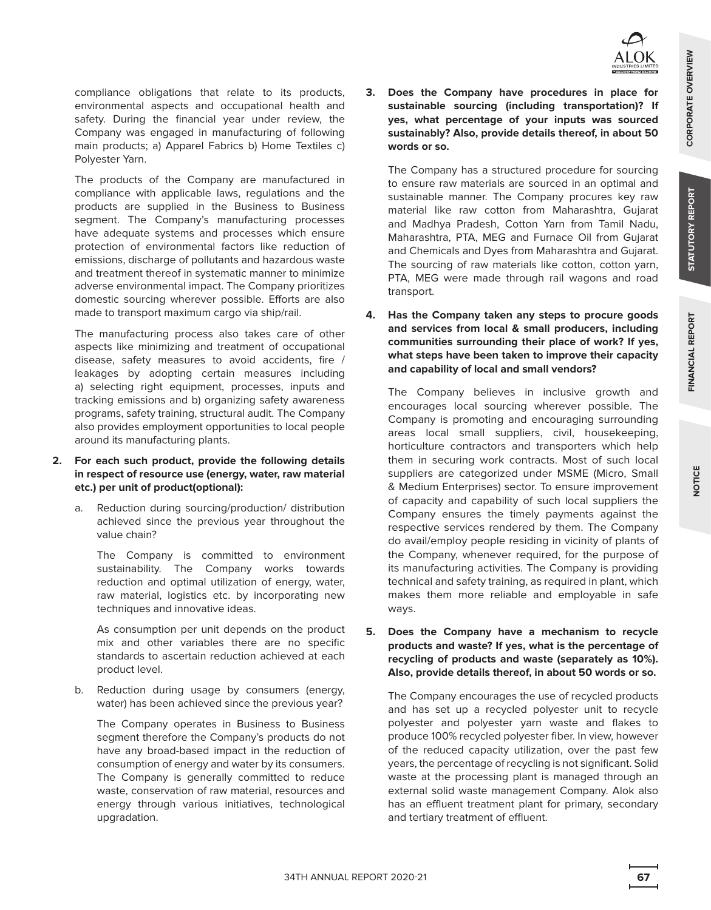compliance obligations that relate to its products, environmental aspects and occupational health and safety. During the financial year under review, the Company was engaged in manufacturing of following main products; a) Apparel Fabrics b) Home Textiles c) Polyester Yarn.

The products of the Company are manufactured in compliance with applicable laws, regulations and the products are supplied in the Business to Business segment. The Company's manufacturing processes have adequate systems and processes which ensure protection of environmental factors like reduction of emissions, discharge of pollutants and hazardous waste and treatment thereof in systematic manner to minimize adverse environmental impact. The Company prioritizes domestic sourcing wherever possible. Efforts are also made to transport maximum cargo via ship/rail.

The manufacturing process also takes care of other aspects like minimizing and treatment of occupational disease, safety measures to avoid accidents, fire / leakages by adopting certain measures including a) selecting right equipment, processes, inputs and tracking emissions and b) organizing safety awareness programs, safety training, structural audit. The Company also provides employment opportunities to local people around its manufacturing plants.

- **2. For each such product, provide the following details in respect of resource use (energy, water, raw material etc.) per unit of product(optional):**
	- a. Reduction during sourcing/production/ distribution achieved since the previous year throughout the value chain?

 The Company is committed to environment sustainability. The Company works towards reduction and optimal utilization of energy, water, raw material, logistics etc. by incorporating new techniques and innovative ideas.

 As consumption per unit depends on the product mix and other variables there are no specific standards to ascertain reduction achieved at each product level.

b. Reduction during usage by consumers (energy, water) has been achieved since the previous year?

 The Company operates in Business to Business segment therefore the Company's products do not have any broad-based impact in the reduction of consumption of energy and water by its consumers. The Company is generally committed to reduce waste, conservation of raw material, resources and energy through various initiatives, technological upgradation.

**3. Does the Company have procedures in place for sustainable sourcing (including transportation)? If yes, what percentage of your inputs was sourced sustainably? Also, provide details thereof, in about 50 words or so.**

The Company has a structured procedure for sourcing to ensure raw materials are sourced in an optimal and sustainable manner. The Company procures key raw material like raw cotton from Maharashtra, Gujarat and Madhya Pradesh, Cotton Yarn from Tamil Nadu, Maharashtra, PTA, MEG and Furnace Oil from Gujarat and Chemicals and Dyes from Maharashtra and Gujarat. The sourcing of raw materials like cotton, cotton yarn, PTA, MEG were made through rail wagons and road transport.

**4. Has the Company taken any steps to procure goods and services from local & small producers, including communities surrounding their place of work? If yes, what steps have been taken to improve their capacity and capability of local and small vendors?**

The Company believes in inclusive growth and encourages local sourcing wherever possible. The Company is promoting and encouraging surrounding areas local small suppliers, civil, housekeeping, horticulture contractors and transporters which help them in securing work contracts. Most of such local suppliers are categorized under MSME (Micro, Small & Medium Enterprises) sector. To ensure improvement of capacity and capability of such local suppliers the Company ensures the timely payments against the respective services rendered by them. The Company do avail/employ people residing in vicinity of plants of the Company, whenever required, for the purpose of its manufacturing activities. The Company is providing technical and safety training, as required in plant, which makes them more reliable and employable in safe ways.

**5. Does the Company have a mechanism to recycle products and waste? If yes, what is the percentage of recycling of products and waste (separately as 10%). Also, provide details thereof, in about 50 words or so.**

The Company encourages the use of recycled products and has set up a recycled polyester unit to recycle polyester and polyester yarn waste and flakes to produce 100% recycled polyester fiber. In view, however of the reduced capacity utilization, over the past few years, the percentage of recycling is not significant. Solid waste at the processing plant is managed through an external solid waste management Company. Alok also has an effluent treatment plant for primary, secondary and tertiary treatment of effluent.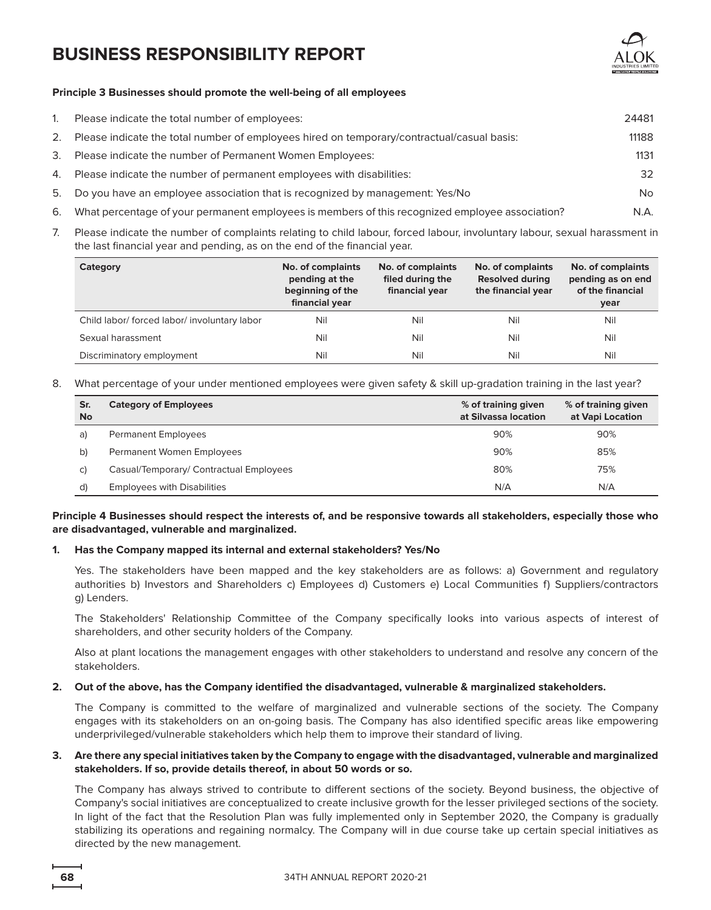

#### **Principle 3 Businesses should promote the well-being of all employees**

| 1. | Please indicate the total number of employees:                                                  | 24481 |
|----|-------------------------------------------------------------------------------------------------|-------|
| 2. | Please indicate the total number of employees hired on temporary/contractual/casual basis:      | 11188 |
| 3. | Please indicate the number of Permanent Women Employees:                                        | 1131  |
| 4. | Please indicate the number of permanent employees with disabilities:                            | 32    |
| 5. | Do you have an employee association that is recognized by management: Yes/No                    | No.   |
| 6. | What percentage of your permanent employees is members of this recognized employee association? | N.A.  |

7. Please indicate the number of complaints relating to child labour, forced labour, involuntary labour, sexual harassment in the last financial year and pending, as on the end of the financial year.

| Category                                     | No. of complaints<br>pending at the<br>beginning of the<br>financial year | No. of complaints<br>filed during the<br>financial year | No. of complaints<br><b>Resolved during</b><br>the financial year | No. of complaints<br>pending as on end<br>of the financial<br>year |
|----------------------------------------------|---------------------------------------------------------------------------|---------------------------------------------------------|-------------------------------------------------------------------|--------------------------------------------------------------------|
| Child labor/ forced labor/ involuntary labor | Nil                                                                       | Nil                                                     | Nil                                                               | Nil                                                                |
| Sexual harassment                            | Nil                                                                       | Nil                                                     | Nil                                                               | Nil                                                                |
| Discriminatory employment                    | Nil                                                                       | Nil                                                     | Nil                                                               | Nil                                                                |

8. What percentage of your under mentioned employees were given safety & skill up-gradation training in the last year?

| Sr.<br><b>No</b> | <b>Category of Employees</b>            | % of training given<br>at Silvassa location | % of training given<br>at Vapi Location |
|------------------|-----------------------------------------|---------------------------------------------|-----------------------------------------|
| a)               | <b>Permanent Employees</b>              | 90%                                         | 90%                                     |
| b)               | Permanent Women Employees               | 90%                                         | 85%                                     |
| C)               | Casual/Temporary/ Contractual Employees | 80%                                         | 75%                                     |
| d)               | <b>Employees with Disabilities</b>      | N/A                                         | N/A                                     |

## **Principle 4 Businesses should respect the interests of, and be responsive towards all stakeholders, especially those who are disadvantaged, vulnerable and marginalized.**

#### **1. Has the Company mapped its internal and external stakeholders? Yes/No**

Yes. The stakeholders have been mapped and the key stakeholders are as follows: a) Government and regulatory authorities b) Investors and Shareholders c) Employees d) Customers e) Local Communities f) Suppliers/contractors g) Lenders.

The Stakeholders' Relationship Committee of the Company specifically looks into various aspects of interest of shareholders, and other security holders of the Company.

Also at plant locations the management engages with other stakeholders to understand and resolve any concern of the stakeholders.

#### **2. Out of the above, has the Company identified the disadvantaged, vulnerable & marginalized stakeholders.**

The Company is committed to the welfare of marginalized and vulnerable sections of the society. The Company engages with its stakeholders on an on-going basis. The Company has also identified specific areas like empowering underprivileged/vulnerable stakeholders which help them to improve their standard of living.

### **3. Are there any special initiatives taken by the Company to engage with the disadvantaged, vulnerable and marginalized stakeholders. If so, provide details thereof, in about 50 words or so.**

The Company has always strived to contribute to different sections of the society. Beyond business, the objective of Company's social initiatives are conceptualized to create inclusive growth for the lesser privileged sections of the society. In light of the fact that the Resolution Plan was fully implemented only in September 2020, the Company is gradually stabilizing its operations and regaining normalcy. The Company will in due course take up certain special initiatives as directed by the new management.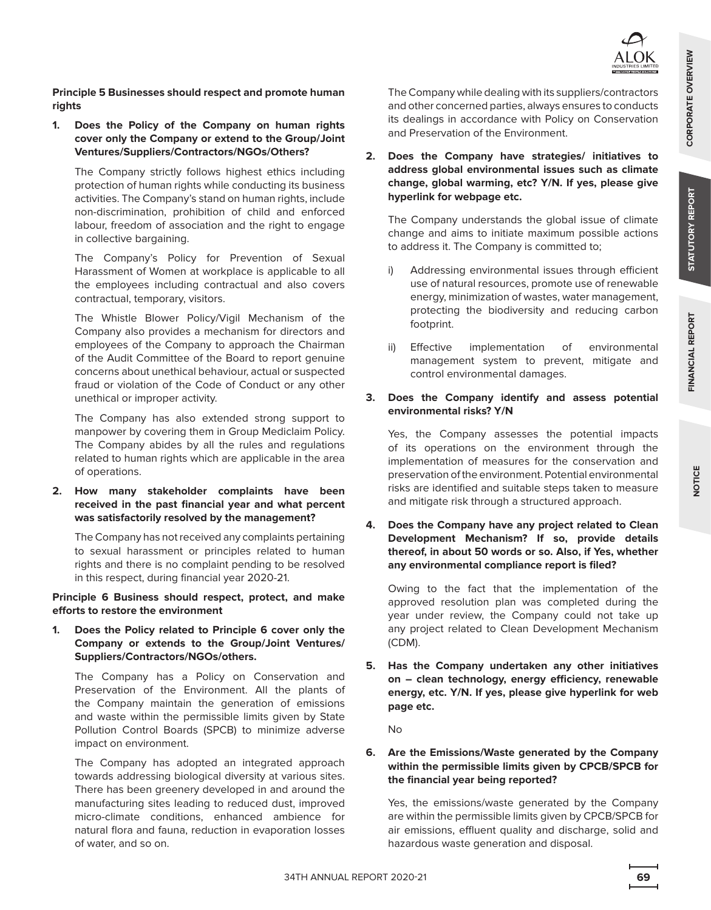**Principle 5 Businesses should respect and promote human rights**

**1. Does the Policy of the Company on human rights cover only the Company or extend to the Group/Joint Ventures/Suppliers/Contractors/NGOs/Others?**

The Company strictly follows highest ethics including protection of human rights while conducting its business activities. The Company's stand on human rights, include non-discrimination, prohibition of child and enforced labour, freedom of association and the right to engage in collective bargaining.

The Company's Policy for Prevention of Sexual Harassment of Women at workplace is applicable to all the employees including contractual and also covers contractual, temporary, visitors.

The Whistle Blower Policy/Vigil Mechanism of the Company also provides a mechanism for directors and employees of the Company to approach the Chairman of the Audit Committee of the Board to report genuine concerns about unethical behaviour, actual or suspected fraud or violation of the Code of Conduct or any other unethical or improper activity.

The Company has also extended strong support to manpower by covering them in Group Mediclaim Policy. The Company abides by all the rules and regulations related to human rights which are applicable in the area of operations.

**2. How many stakeholder complaints have been received in the past financial year and what percent was satisfactorily resolved by the management?**

The Company has not received any complaints pertaining to sexual harassment or principles related to human rights and there is no complaint pending to be resolved in this respect, during financial year 2020-21.

**Principle 6 Business should respect, protect, and make efforts to restore the environment**

**1. Does the Policy related to Principle 6 cover only the Company or extends to the Group/Joint Ventures/ Suppliers/Contractors/NGOs/others.**

The Company has a Policy on Conservation and Preservation of the Environment. All the plants of the Company maintain the generation of emissions and waste within the permissible limits given by State Pollution Control Boards (SPCB) to minimize adverse impact on environment.

The Company has adopted an integrated approach towards addressing biological diversity at various sites. There has been greenery developed in and around the manufacturing sites leading to reduced dust, improved micro-climate conditions, enhanced ambience for natural flora and fauna, reduction in evaporation losses of water, and so on.

The Company while dealing with its suppliers/contractors and other concerned parties, always ensures to conducts its dealings in accordance with Policy on Conservation and Preservation of the Environment.

**2. Does the Company have strategies/ initiatives to address global environmental issues such as climate change, global warming, etc? Y/N. If yes, please give hyperlink for webpage etc.**

The Company understands the global issue of climate change and aims to initiate maximum possible actions to address it. The Company is committed to;

- i) Addressing environmental issues through efficient use of natural resources, promote use of renewable energy, minimization of wastes, water management, protecting the biodiversity and reducing carbon footprint.
- ii) Effective implementation of environmental management system to prevent, mitigate and control environmental damages.

## **3. Does the Company identify and assess potential environmental risks? Y/N**

Yes, the Company assesses the potential impacts of its operations on the environment through the implementation of measures for the conservation and preservation of the environment. Potential environmental risks are identified and suitable steps taken to measure and mitigate risk through a structured approach.

## **4. Does the Company have any project related to Clean Development Mechanism? If so, provide details thereof, in about 50 words or so. Also, if Yes, whether any environmental compliance report is filed?**

Owing to the fact that the implementation of the approved resolution plan was completed during the year under review, the Company could not take up any project related to Clean Development Mechanism (CDM).

**5. Has the Company undertaken any other initiatives on – clean technology, energy efficiency, renewable energy, etc. Y/N. If yes, please give hyperlink for web page etc.**

No

## **6. Are the Emissions/Waste generated by the Company within the permissible limits given by CPCB/SPCB for the financial year being reported?**

Yes, the emissions/waste generated by the Company are within the permissible limits given by CPCB/SPCB for air emissions, effluent quality and discharge, solid and hazardous waste generation and disposal.